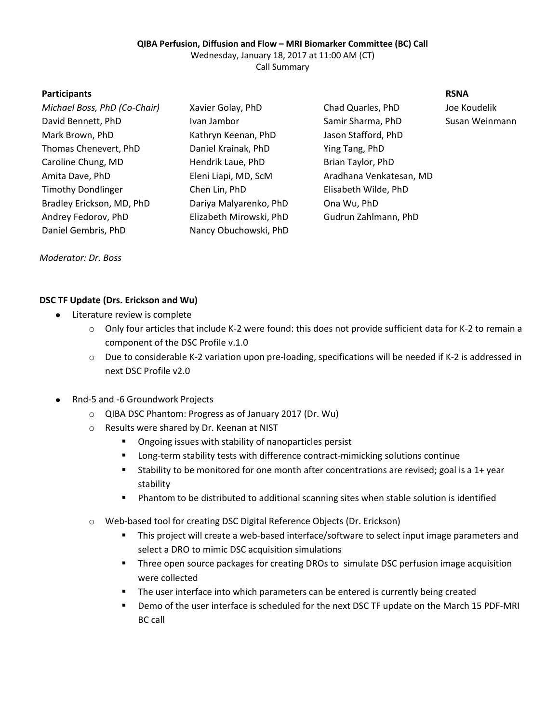#### **QIBA Perfusion, Diffusion and Flow – MRI Biomarker Committee (BC) Call**

Wednesday, January 18, 2017 at 11:00 AM (CT)

Call Summary

### **Participants RSNA**

| Michael Boss, PhD (Co-Chair) |
|------------------------------|
| David Bennett, PhD           |
| Mark Brown, PhD              |
| Thomas Chenevert, PhD        |
| Caroline Chung, MD           |
| Amita Dave, PhD              |
| <b>Timothy Dondlinger</b>    |
| Bradley Erickson, MD, PhD    |
| Andrey Fedorov, PhD          |
| Daniel Gembris, PhD          |

Kathryn Keenan, PhD Jason Stafford, PhD Daniel Krainak, PhD Ying Tang, PhD Hendrik Laue, PhD Brian Taylor, PhD Timothy Dondlinger Chen Lin, PhD Elisabeth Wilde, PhD Dariya Malyarenko, PhD Ona Wu, PhD Andrey Fedorov, PhD Elizabeth Mirowski, PhD Gudrun Zahlmann, PhD Nancy Obuchowski, PhD

*Michael Boss, PhD (Co-Chair)* Xavier Golay, PhD Chad Quarles, PhD Joe Koudelik Ivan Jambor **Ivan Jambor** Samir Sharma, PhD Susan Weinmann Eleni Liapi, MD, ScM Aradhana Venkatesan, MD

*Moderator: Dr. Boss*

# **DSC TF Update (Drs. Erickson and Wu)**

- Literature review is complete
	- o Only four articles that include K-2 were found: this does not provide sufficient data for K-2 to remain a component of the DSC Profile v.1.0
	- o Due to considerable K-2 variation upon pre-loading, specifications will be needed if K-2 is addressed in next DSC Profile v2.0
- $\bullet$ Rnd-5 and -6 Groundwork Projects
	- o QIBA DSC Phantom: Progress as of January 2017 (Dr. Wu)
	- o Results were shared by Dr. Keenan at NIST
		- **Ongoing issues with stability of nanoparticles persist**
		- **EXTERGHTM** 100 Long-term stability tests with difference contract-mimicking solutions continue
		- Stability to be monitored for one month after concentrations are revised; goal is a 1+ year stability
		- Phantom to be distributed to additional scanning sites when stable solution is identified
	- o Web-based tool for creating DSC Digital Reference Objects (Dr. Erickson)
		- This project will create a web-based interface/software to select input image parameters and select a DRO to mimic DSC acquisition simulations
		- **Three open source packages for creating DROs to simulate DSC perfusion image acquisition** were collected
		- **The user interface into which parameters can be entered is currently being created**
		- **Phonom** Demo of the user interface is scheduled for the next DSC TF update on the March 15 PDF-MRI BC call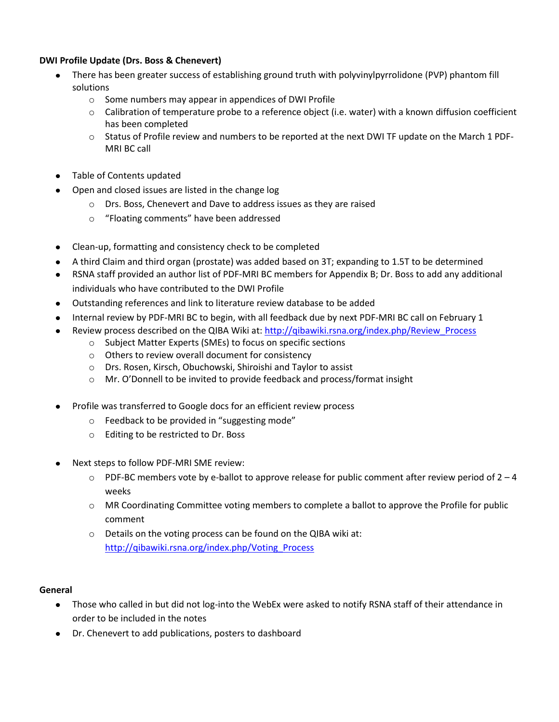### **DWI Profile Update (Drs. Boss & Chenevert)**

- There has been greater success of establishing ground truth with polyvinylpyrrolidone (PVP) phantom fill solutions
	- o Some numbers may appear in appendices of DWI Profile
	- o Calibration of temperature probe to a reference object (i.e. water) with a known diffusion coefficient has been completed
	- o Status of Profile review and numbers to be reported at the next DWI TF update on the March 1 PDF-MRI BC call
- Table of Contents updated
- Open and closed issues are listed in the change log
	- o Drs. Boss, Chenevert and Dave to address issues as they are raised
	- o "Floating comments" have been addressed
- Clean-up, formatting and consistency check to be completed
- A third Claim and third organ (prostate) was added based on 3T; expanding to 1.5T to be determined
- $\bullet$ RSNA staff provided an author list of PDF-MRI BC members for Appendix B; Dr. Boss to add any additional individuals who have contributed to the DWI Profile
- Outstanding references and link to literature review database to be added  $\bullet$
- Internal review by PDF-MRI BC to begin, with all feedback due by next PDF-MRI BC call on February 1  $\bullet$
- Review process described on the QIBA Wiki at: http://gibawiki.rsna.org/index.php/Review\_Process  $\bullet$ 
	- o Subject Matter Experts (SMEs) to focus on specific sections
	- o Others to review overall document for consistency
	- o Drs. Rosen, Kirsch, Obuchowski, Shiroishi and Taylor to assist
	- o Mr. O'Donnell to be invited to provide feedback and process/format insight
- Profile was transferred to Google docs for an efficient review process
	- o Feedback to be provided in "suggesting mode"
	- o Editing to be restricted to Dr. Boss
- Next steps to follow PDF-MRI SME review:
	- $\circ$  PDF-BC members vote by e-ballot to approve release for public comment after review period of 2 4 weeks
	- o MR Coordinating Committee voting members to complete a ballot to approve the Profile for public comment
	- o Details on the voting process can be found on the QIBA wiki at: [http://qibawiki.rsna.org/index.php/Voting\\_Process](http://qibawiki.rsna.org/index.php/Voting_Process)

#### **General**

- Those who called in but did not log-into the WebEx were asked to notify RSNA staff of their attendance in order to be included in the notes
- Dr. Chenevert to add publications, posters to dashboard